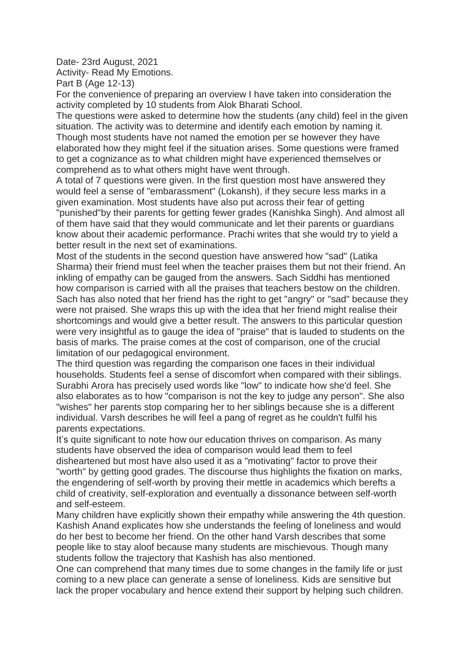Date- 23rd August, 2021

Activity- Read My Emotions.

Part B (Age 12-13)

For the convenience of preparing an overview I have taken into consideration the activity completed by 10 students from Alok Bharati School.

The questions were asked to determine how the students (any child) feel in the given situation. The activity was to determine and identify each emotion by naming it. Though most students have not named the emotion per se however they have elaborated how they might feel if the situation arises. Some questions were framed to get a cognizance as to what children might have experienced themselves or comprehend as to what others might have went through.

A total of 7 questions were given. In the first question most have answered they would feel a sense of "embarassment" (Lokansh), if they secure less marks in a given examination. Most students have also put across their fear of getting "punished"by their parents for getting fewer grades (Kanishka Singh). And almost all of them have said that they would communicate and let their parents or guardians know about their academic performance. Prachi writes that she would try to yield a better result in the next set of examinations.

Most of the students in the second question have answered how "sad" (Latika Sharma) their friend must feel when the teacher praises them but not their friend. An inkling of empathy can be gauged from the answers. Sach Siddhi has mentioned how comparison is carried with all the praises that teachers bestow on the children. Sach has also noted that her friend has the right to get "angry" or "sad" because they were not praised. She wraps this up with the idea that her friend might realise their shortcomings and would give a better result. The answers to this particular question were very insightful as to gauge the idea of "praise" that is lauded to students on the basis of marks. The praise comes at the cost of comparison, one of the crucial limitation of our pedagogical environment.

The third question was regarding the comparison one faces in their individual households. Students feel a sense of discomfort when compared with their siblings. Surabhi Arora has precisely used words like "low" to indicate how she'd feel. She also elaborates as to how "comparison is not the key to judge any person". She also "wishes" her parents stop comparing her to her siblings because she is a different individual. Varsh describes he will feel a pang of regret as he couldn't fulfil his parents expectations.

It's quite significant to note how our education thrives on comparison. As many students have observed the idea of comparison would lead them to feel disheartened but most have also used it as a "motivating" factor to prove their "worth" by getting good grades. The discourse thus highlights the fixation on marks, the engendering of self-worth by proving their mettle in academics which berefts a child of creativity, self-exploration and eventually a dissonance between self-worth and self-esteem.

Many children have explicitly shown their empathy while answering the 4th question. Kashish Anand explicates how she understands the feeling of loneliness and would do her best to become her friend. On the other hand Varsh describes that some people like to stay aloof because many students are mischievous. Though many students follow the trajectory that Kashish has also mentioned.

One can comprehend that many times due to some changes in the family life or just coming to a new place can generate a sense of loneliness. Kids are sensitive but lack the proper vocabulary and hence extend their support by helping such children.